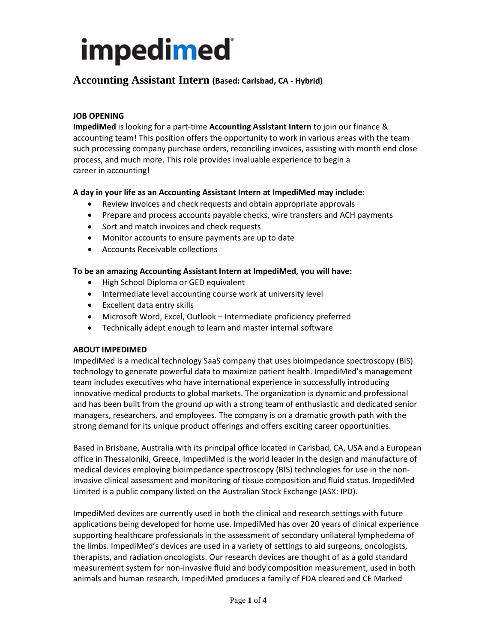## **Accounting Assistant Intern (Based: Carlsbad, CA - Hybrid)**

### **JOB OPENING**

**ImpediMed** is looking for a part-time **Accounting Assistant Intern** to join our finance & accounting team! This position offers the opportunity to work in various areas with the team such processing company purchase orders, reconciling invoices, assisting with month end close process, and much more. This role provides invaluable experience to begin a career in accounting!

#### **A day in your life as an Accounting Assistant Intern at ImpediMed may include:**

- Review invoices and check requests and obtain appropriate approvals
- Prepare and process accounts payable checks, wire transfers and ACH payments
- Sort and match invoices and check requests
- Monitor accounts to ensure payments are up to date
- Accounts Receivable collections

#### **To be an amazing Accounting Assistant Intern at ImpediMed, you will have:**

- High School Diploma or GED equivalent
- Intermediate level accounting course work at university level
- Excellent data entry skills
- Microsoft Word, Excel, Outlook Intermediate proficiency preferred
- Technically adept enough to learn and master internal software

#### **ABOUT IMPEDIMED**

ImpediMed is a medical technology SaaS company that uses bioimpedance spectroscopy (BIS) technology to generate powerful data to maximize patient health. ImpediMed's management team includes executives who have international experience in successfully introducing innovative medical products to global markets. The organization is dynamic and professional and has been built from the ground up with a strong team of enthusiastic and dedicated senior managers, researchers, and employees. The company is on a dramatic growth path with the strong demand for its unique product offerings and offers exciting career opportunities.

Based in Brisbane, Australia with its principal office located in Carlsbad, CA, USA and a European office in Thessaloniki, Greece, ImpediMed is the world leader in the design and manufacture of medical devices employing bioimpedance spectroscopy (BIS) technologies for use in the noninvasive clinical assessment and monitoring of tissue composition and fluid status. ImpediMed Limited is a public company listed on the Australian Stock Exchange (ASX: IPD).

ImpediMed devices are currently used in both the clinical and research settings with future applications being developed for home use. ImpediMed has over 20 years of clinical experience supporting healthcare professionals in the assessment of secondary unilateral lymphedema of the limbs. ImpediMed's devices are used in a variety of settings to aid surgeons, oncologists, therapists, and radiation oncologists. Our research devices are thought of as a gold standard measurement system for non-invasive fluid and body composition measurement, used in both animals and human research. ImpediMed produces a family of FDA cleared and CE Marked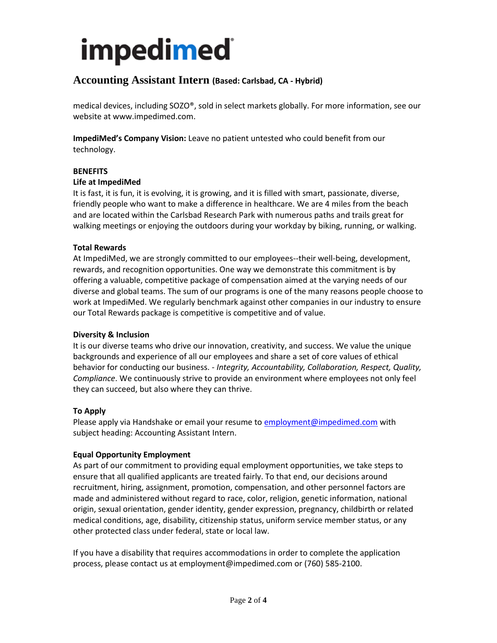# **Accounting Assistant Intern (Based: Carlsbad, CA - Hybrid)**

medical devices, including SOZO®, sold in select markets globally. For more information, see our website at www.impedimed.com.

**ImpediMed's Company Vision:** Leave no patient untested who could benefit from our technology.

#### **BENEFITS**

#### **Life at ImpediMed**

It is fast, it is fun, it is evolving, it is growing, and it is filled with smart, passionate, diverse, friendly people who want to make a difference in healthcare. We are 4 miles from the beach and are located within the Carlsbad Research Park with numerous paths and trails great for walking meetings or enjoying the outdoors during your workday by biking, running, or walking.

#### **Total Rewards**

At ImpediMed, we are strongly committed to our employees--their well-being, development, rewards, and recognition opportunities. One way we demonstrate this commitment is by offering a valuable, competitive package of compensation aimed at the varying needs of our diverse and global teams. The sum of our programs is one of the many reasons people choose to work at ImpediMed. We regularly benchmark against other companies in our industry to ensure our Total Rewards package is competitive is competitive and of value.

#### **Diversity & Inclusion**

It is our diverse teams who drive our innovation, creativity, and success. We value the unique backgrounds and experience of all our employees and share a set of core values of ethical behavior for conducting our business. - *Integrity, Accountability, Collaboration, Respect, Quality, Compliance*. We continuously strive to provide an environment where employees not only feel they can succeed, but also where they can thrive.

#### **To Apply**

Please apply via Handshake or email your resume t[o employment@impedimed.com](mailto:employment@impedimed.com) with subject heading: Accounting Assistant Intern.

#### **Equal Opportunity Employment**

As part of our commitment to providing equal employment opportunities, we take steps to ensure that all qualified applicants are treated fairly. To that end, our decisions around recruitment, hiring, assignment, promotion, compensation, and other personnel factors are made and administered without regard to race, color, religion, genetic information, national origin, sexual orientation, gender identity, gender expression, pregnancy, childbirth or related medical conditions, age, disability, citizenship status, uniform service member status, or any other protected class under federal, state or local law.

If you have a disability that requires accommodations in order to complete the application process, please contact us at employment@impedimed.com or (760) 585-2100.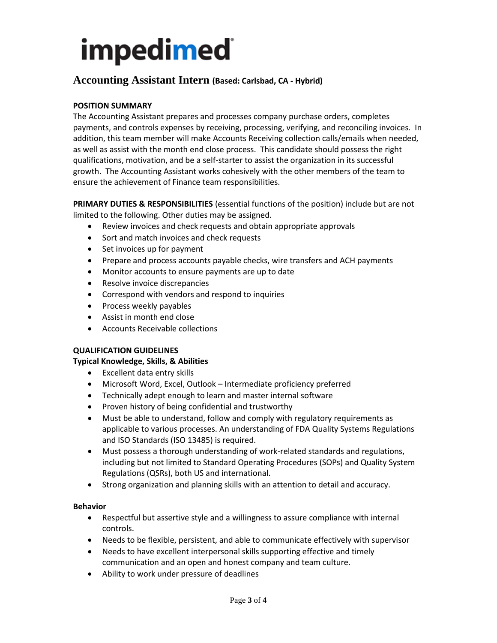## **Accounting Assistant Intern (Based: Carlsbad, CA - Hybrid)**

### **POSITION SUMMARY**

The Accounting Assistant prepares and processes company purchase orders, completes payments, and controls expenses by receiving, processing, verifying, and reconciling invoices. In addition, this team member will make Accounts Receiving collection calls/emails when needed, as well as assist with the month end close process. This candidate should possess the right qualifications, motivation, and be a self-starter to assist the organization in its successful growth. The Accounting Assistant works cohesively with the other members of the team to ensure the achievement of Finance team responsibilities.

**PRIMARY DUTIES & RESPONSIBILITIES** (essential functions of the position) include but are not limited to the following. Other duties may be assigned.

- Review invoices and check requests and obtain appropriate approvals
- Sort and match invoices and check requests
- Set invoices up for payment
- Prepare and process accounts payable checks, wire transfers and ACH payments
- Monitor accounts to ensure payments are up to date
- Resolve invoice discrepancies
- Correspond with vendors and respond to inquiries
- Process weekly payables
- Assist in month end close
- Accounts Receivable collections

#### **QUALIFICATION GUIDELINES**

#### **Typical Knowledge, Skills, & Abilities**

- Excellent data entry skills
- Microsoft Word, Excel, Outlook Intermediate proficiency preferred
- Technically adept enough to learn and master internal software
- Proven history of being confidential and trustworthy
- Must be able to understand, follow and comply with regulatory requirements as applicable to various processes. An understanding of FDA Quality Systems Regulations and ISO Standards (ISO 13485) is required.
- Must possess a thorough understanding of work-related standards and regulations, including but not limited to Standard Operating Procedures (SOPs) and Quality System Regulations (QSRs), both US and international.
- Strong organization and planning skills with an attention to detail and accuracy.

#### **Behavior**

- Respectful but assertive style and a willingness to assure compliance with internal controls.
- Needs to be flexible, persistent, and able to communicate effectively with supervisor
- Needs to have excellent interpersonal skills supporting effective and timely communication and an open and honest company and team culture.
- Ability to work under pressure of deadlines